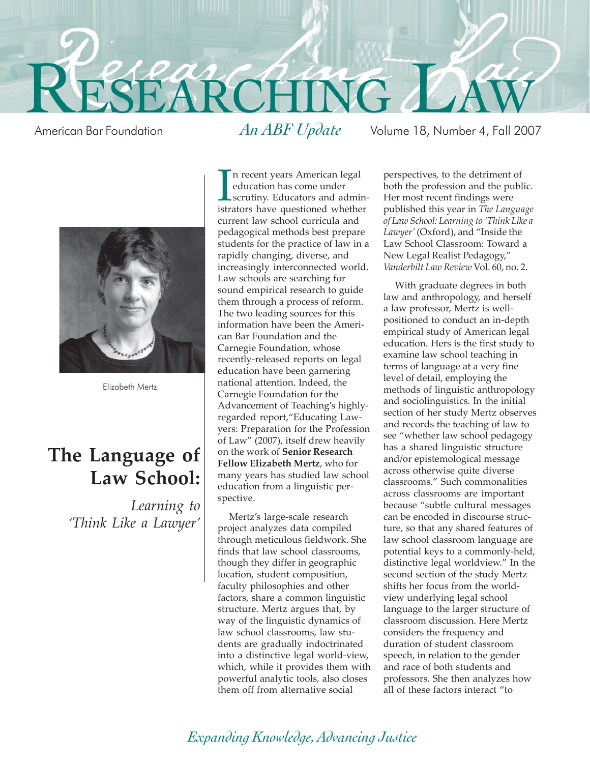

American Bar Foundation *An ABF Update* Volume 18, Number 4, Fall 2007



Elizabeth Mertz

## **The Language of Law School:**

*Learning to 'Think Like a Lawyer'*

In recent years American legal<br>education has come under<br>scrutiny. Educators and admin<br>istrators have questioned whether n recent years American legal education has come under scrutiny. Educators and admincurrent law school curricula and pedagogical methods best prepare students for the practice of law in a rapidly changing, diverse, and increasingly interconnected world. Law schools are searching for sound empirical research to guide them through a process of reform. The two leading sources for this information have been the American Bar Foundation and the Carnegie Foundation, whose recently-released reports on legal education have been garnering national attention. Indeed, the Carnegie Foundation for the Advancement of Teaching's highlyregarded report,"Educating Lawyers: Preparation for the Profession of Law" (2007), itself drew heavily on the work of **Senior Research Fellow Elizabeth Mertz**, who for many years has studied law school education from a linguistic perspective.

Mertz's large-scale research project analyzes data compiled through meticulous fieldwork. She finds that law school classrooms, though they differ in geographic location, student composition, faculty philosophies and other factors, share a common linguistic structure. Mertz argues that, by way of the linguistic dynamics of law school classrooms, law students are gradually indoctrinated into a distinctive legal world-view, which, while it provides them with powerful analytic tools, also closes them off from alternative social

perspectives, to the detriment of both the profession and the public. Her most recent findings were published this year in *The Language of Law School: Learning to 'Think Like a Lawyer'* (Oxford), and "Inside the Law School Classroom: Toward a New Legal Realist Pedagogy," *Vanderbilt Law Review* Vol. 60, no. 2.

With graduate degrees in both law and anthropology, and herself a law professor, Mertz is wellpositioned to conduct an in-depth empirical study of American legal education. Hers is the first study to examine law school teaching in terms of language at a very fine level of detail, employing the methods of linguistic anthropology and sociolinguistics. In the initial section of her study Mertz observes and records the teaching of law to see "whether law school pedagogy has a shared linguistic structure and/or epistemological message across otherwise quite diverse classrooms." Such commonalities across classrooms are important because "subtle cultural messages can be encoded in discourse structure, so that any shared features of law school classroom language are potential keys to a commonly-held, distinctive legal worldview." In the second section of the study Mertz shifts her focus from the worldview underlying legal school language to the larger structure of classroom discussion. Here Mertz considers the frequency and duration of student classroom speech, in relation to the gender and race of both students and professors. She then analyzes how all of these factors interact "to

### *Expanding Knowledge, Advancing Justice*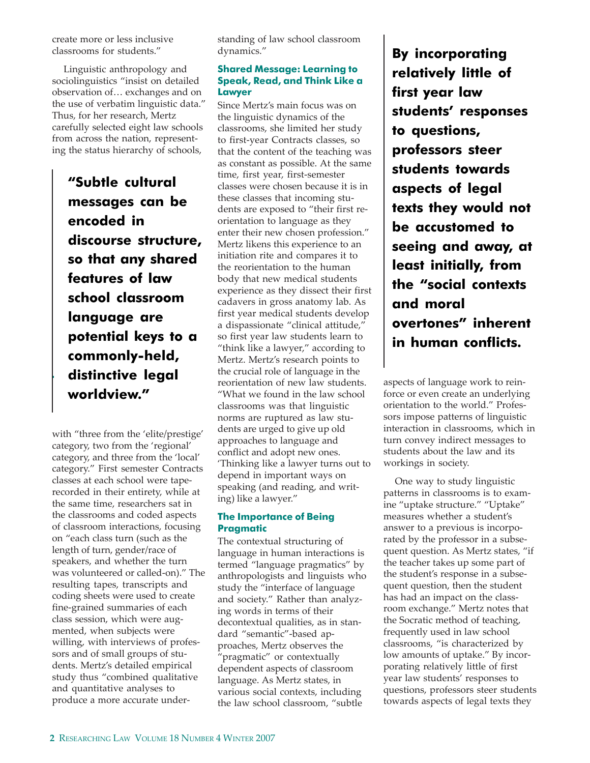create more or less inclusive classrooms for students."

Linguistic anthropology and sociolinguistics "insist on detailed observation of… exchanges and on the use of verbatim linguistic data." Thus, for her research, Mertz carefully selected eight law schools from across the nation, representing the status hierarchy of schools,

**"Subtle cultural messages can be encoded in discourse structure, so that any shared features of law school classroom language are potential keys to a commonly-held, distinctive legal worldview."**

with "three from the 'elite/prestige' category, two from the 'regional' category, and three from the 'local' category." First semester Contracts classes at each school were taperecorded in their entirety, while at the same time, researchers sat in the classrooms and coded aspects of classroom interactions, focusing on "each class turn (such as the length of turn, gender/race of speakers, and whether the turn was volunteered or called-on)." The resulting tapes, transcripts and coding sheets were used to create fine-grained summaries of each class session, which were augmented, when subjects were willing, with interviews of professors and of small groups of students. Mertz's detailed empirical study thus "combined qualitative and quantitative analyses to produce a more accurate understanding of law school classroom dynamics."

### **Shared Message: Learning to Speak, Read, and Think Like a Lawyer**

Since Mertz's main focus was on the linguistic dynamics of the classrooms, she limited her study to first-year Contracts classes, so that the content of the teaching was as constant as possible. At the same time, first year, first-semester classes were chosen because it is in these classes that incoming students are exposed to "their first reorientation to language as they enter their new chosen profession." Mertz likens this experience to an initiation rite and compares it to the reorientation to the human body that new medical students experience as they dissect their first cadavers in gross anatomy lab. As first year medical students develop a dispassionate "clinical attitude," so first year law students learn to "think like a lawyer," according to Mertz. Mertz's research points to the crucial role of language in the reorientation of new law students. "What we found in the law school classrooms was that linguistic norms are ruptured as law students are urged to give up old approaches to language and conflict and adopt new ones. 'Thinking like a lawyer turns out to depend in important ways on speaking (and reading, and writing) like a lawyer."

### **The Importance of Being Pragmatic**

The contextual structuring of language in human interactions is termed "language pragmatics" by anthropologists and linguists who study the "interface of language and society." Rather than analyzing words in terms of their decontextual qualities, as in standard "semantic"-based approaches, Mertz observes the "pragmatic" or contextually dependent aspects of classroom language. As Mertz states, in various social contexts, including the law school classroom, "subtle

**By incorporating relatively little of first year law students' responses to questions, professors steer students towards aspects of legal texts they would not be accustomed to seeing and away, at least initially, from the "social contexts and moral overtones" inherent in human conflicts.**

aspects of language work to reinforce or even create an underlying orientation to the world." Professors impose patterns of linguistic interaction in classrooms, which in turn convey indirect messages to students about the law and its workings in society.

One way to study linguistic patterns in classrooms is to examine "uptake structure." "Uptake" measures whether a student's answer to a previous is incorporated by the professor in a subsequent question. As Mertz states, "if the teacher takes up some part of the student's response in a subsequent question, then the student has had an impact on the classroom exchange." Mertz notes that the Socratic method of teaching, frequently used in law school classrooms, "is characterized by low amounts of uptake." By incorporating relatively little of first year law students' responses to questions, professors steer students towards aspects of legal texts they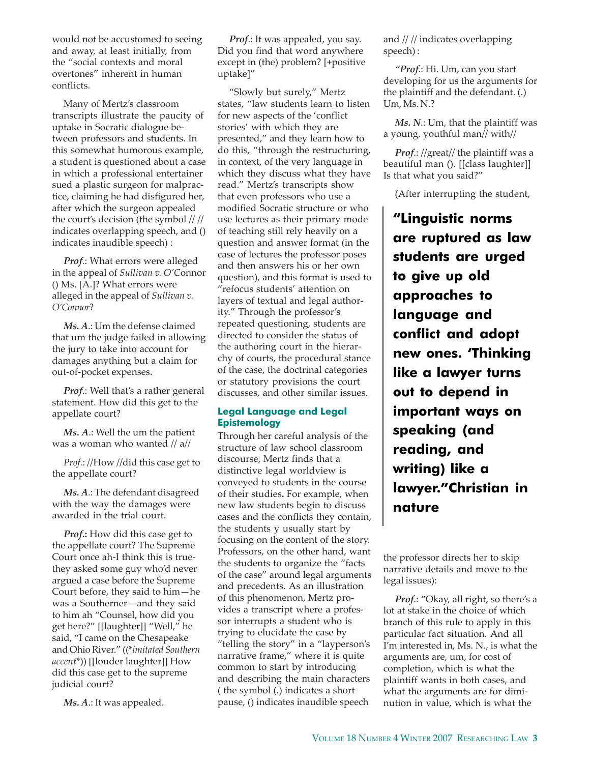would not be accustomed to seeing and away, at least initially, from the "social contexts and moral overtones" inherent in human conflicts.

Many of Mertz's classroom transcripts illustrate the paucity of uptake in Socratic dialogue between professors and students. In this somewhat humorous example, a student is questioned about a case in which a professional entertainer sued a plastic surgeon for malpractice, claiming he had disfigured her, after which the surgeon appealed the court's decision (the symbol // // indicates overlapping speech, and () indicates inaudible speech) :

*Prof.*: What errors were alleged in the appeal of *Sullivan v. O'C*onnor () Ms. [A.]? What errors were alleged in the appeal of *Sullivan v. O'Connor*?

*Ms. A*.: Um the defense claimed that um the judge failed in allowing the jury to take into account for damages anything but a claim for out-of-pocket expenses.

*Prof*.: Well that's a rather general statement. How did this get to the appellate court?

*Ms. A*.: Well the um the patient was a woman who wanted // a//

*Prof.*: //How //did this case get to the appellate court?

*Ms. A*.: The defendant disagreed with the way the damages were awarded in the trial court.

*Prof***.:** How did this case get to the appellate court? The Supreme Court once ah-I think this is truethey asked some guy who'd never argued a case before the Supreme Court before, they said to him—he was a Southerner—and they said to him ah "Counsel, how did you get here?" [[laughter]] "Well," he said, "I came on the Chesapeake and Ohio River." ((\**imitated Southern accent*\*)) [[louder laughter]] How did this case get to the supreme judicial court?

*Ms. A*.: It was appealed.

*Prof*.: It was appealed, you say. Did you find that word anywhere except in (the) problem? [+positive uptake]"

"Slowly but surely," Mertz states, "law students learn to listen for new aspects of the 'conflict stories' with which they are presented," and they learn how to do this, "through the restructuring, in context, of the very language in which they discuss what they have read." Mertz's transcripts show that even professors who use a modified Socratic structure or who use lectures as their primary mode of teaching still rely heavily on a question and answer format (in the case of lectures the professor poses and then answers his or her own question), and this format is used to "refocus students' attention on layers of textual and legal authority." Through the professor's repeated questioning, students are directed to consider the status of the authoring court in the hierarchy of courts, the procedural stance of the case, the doctrinal categories or statutory provisions the court discusses, and other similar issues.

### **Legal Language and Legal Epistemology**

Through her careful analysis of the structure of law school classroom discourse, Mertz finds that a distinctive legal worldview is conveyed to students in the course of their studies**.** For example, when new law students begin to discuss cases and the conflicts they contain, the students y usually start by focusing on the content of the story. Professors, on the other hand, want the students to organize the "facts of the case" around legal arguments and precedents. As an illustration of this phenomenon, Mertz provides a transcript where a professor interrupts a student who is trying to elucidate the case by "telling the story" in a "layperson's narrative frame," where it is quite common to start by introducing and describing the main characters ( the symbol (.) indicates a short pause, () indicates inaudible speech

and // // indicates overlapping speech) :

*"Prof*.: Hi. Um, can you start developing for us the arguments for the plaintiff and the defendant. (.) Um, Ms. N.?

*Ms. N*.: Um, that the plaintiff was a young, youthful man// with//

*Prof*.: //great// the plaintiff was a beautiful man (). [[class laughter]] Is that what you said?"

(After interrupting the student,

**"Linguistic norms are ruptured as law students are urged to give up old approaches to language and conflict and adopt new ones. 'Thinking like a lawyer turns out to depend in important ways on speaking (and reading, and writing) like a lawyer."Christian in nature**

the professor directs her to skip narrative details and move to the legal issues):

*Prof*.: "Okay, all right, so there's a lot at stake in the choice of which branch of this rule to apply in this particular fact situation. And all I'm interested in, Ms. N., is what the arguments are, um, for cost of completion, which is what the plaintiff wants in both cases, and what the arguments are for diminution in value, which is what the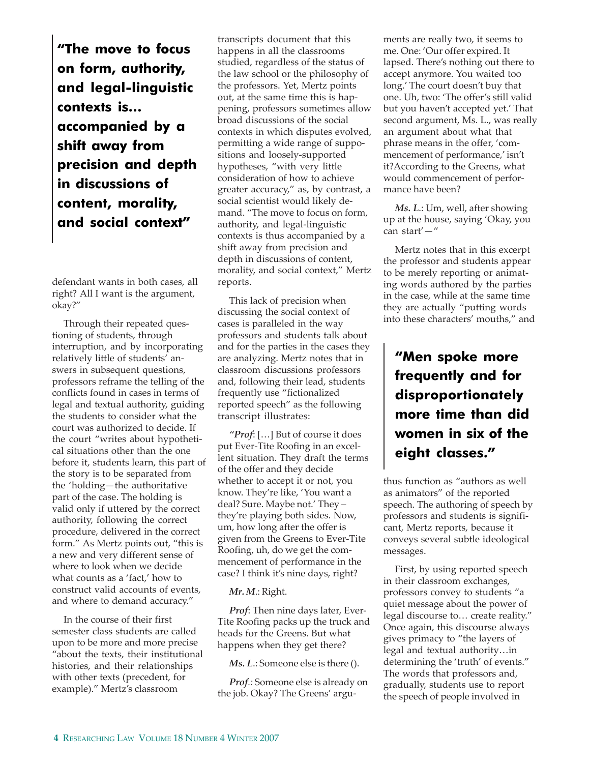**"The move to focus on form, authority, and legal-linguistic contexts is… accompanied by a shift away from precision and depth in discussions of content, morality, and social context"**

defendant wants in both cases, all right? All I want is the argument, okay?"

Through their repeated questioning of students, through interruption, and by incorporating relatively little of students' answers in subsequent questions, professors reframe the telling of the conflicts found in cases in terms of legal and textual authority, guiding the students to consider what the court was authorized to decide. If the court "writes about hypothetical situations other than the one before it, students learn, this part of the story is to be separated from the 'holding—the authoritative part of the case. The holding is valid only if uttered by the correct authority, following the correct procedure, delivered in the correct form." As Mertz points out, "this is a new and very different sense of where to look when we decide what counts as a 'fact,' how to construct valid accounts of events, and where to demand accuracy."

In the course of their first semester class students are called upon to be more and more precise "about the texts, their institutional histories, and their relationships with other texts (precedent, for example)." Mertz's classroom

transcripts document that this happens in all the classrooms studied, regardless of the status of the law school or the philosophy of the professors. Yet, Mertz points out, at the same time this is happening, professors sometimes allow broad discussions of the social contexts in which disputes evolved, permitting a wide range of suppositions and loosely-supported hypotheses, "with very little consideration of how to achieve greater accuracy," as, by contrast, a social scientist would likely demand. "The move to focus on form, authority, and legal-linguistic contexts is thus accompanied by a shift away from precision and depth in discussions of content, morality, and social context," Mertz reports.

This lack of precision when discussing the social context of cases is paralleled in the way professors and students talk about and for the parties in the cases they are analyzing. Mertz notes that in classroom discussions professors and, following their lead, students frequently use "fictionalized reported speech" as the following transcript illustrates:

*"Prof*: […] But of course it does put Ever-Tite Roofing in an excellent situation. They draft the terms of the offer and they decide whether to accept it or not, you know. They're like, 'You want a deal? Sure. Maybe not.' They – they're playing both sides. Now, um, how long after the offer is given from the Greens to Ever-Tite Roofing, uh, do we get the commencement of performance in the case? I think it's nine days, right?

#### *Mr. M*.: Right.

*Prof*: Then nine days later, Ever-Tite Roofing packs up the truck and heads for the Greens. But what happens when they get there?

*Ms. L*.: Someone else is there ().

*Prof.:* Someone else is already on the job. Okay? The Greens' arguments are really two, it seems to me. One: 'Our offer expired. It lapsed. There's nothing out there to accept anymore. You waited too long.' The court doesn't buy that one. Uh, two: 'The offer's still valid but you haven't accepted yet.' That second argument, Ms. L., was really an argument about what that phrase means in the offer, 'commencement of performance,' isn't it?According to the Greens, what would commencement of performance have been?

*Ms. L*.: Um, well, after showing up at the house, saying 'Okay, you can start'—"

Mertz notes that in this excerpt the professor and students appear to be merely reporting or animating words authored by the parties in the case, while at the same time they are actually "putting words into these characters' mouths," and

### **"Men spoke more frequently and for disproportionately more time than did women in six of the eight classes."**

thus function as "authors as well as animators" of the reported speech. The authoring of speech by professors and students is significant, Mertz reports, because it conveys several subtle ideological messages.

First, by using reported speech in their classroom exchanges, professors convey to students "a quiet message about the power of legal discourse to… create reality." Once again, this discourse always gives primacy to "the layers of legal and textual authority…in determining the 'truth' of events." The words that professors and, gradually, students use to report the speech of people involved in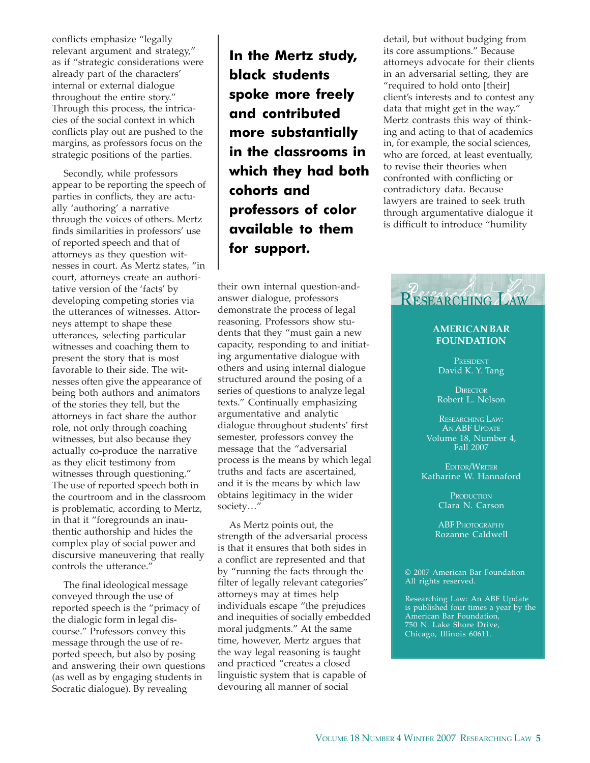conflicts emphasize "legally relevant argument and strategy," as if "strategic considerations were already part of the characters' internal or external dialogue throughout the entire story." Through this process, the intricacies of the social context in which conflicts play out are pushed to the margins, as professors focus on the strategic positions of the parties.

Secondly, while professors appear to be reporting the speech of parties in conflicts, they are actually 'authoring' a narrative through the voices of others. Mertz finds similarities in professors' use of reported speech and that of attorneys as they question witnesses in court. As Mertz states, "in court, attorneys create an authoritative version of the 'facts' by developing competing stories via the utterances of witnesses. Attorneys attempt to shape these utterances, selecting particular witnesses and coaching them to present the story that is most favorable to their side. The witnesses often give the appearance of being both authors and animators of the stories they tell, but the attorneys in fact share the author role, not only through coaching witnesses, but also because they actually co-produce the narrative as they elicit testimony from witnesses through questioning." The use of reported speech both in the courtroom and in the classroom is problematic, according to Mertz, in that it "foregrounds an inauthentic authorship and hides the complex play of social power and discursive maneuvering that really controls the utterance."

The final ideological message conveyed through the use of reported speech is the "primacy of the dialogic form in legal discourse." Professors convey this message through the use of reported speech, but also by posing and answering their own questions (as well as by engaging students in Socratic dialogue). By revealing

**In the Mertz study, black students spoke more freely and contributed more substantially in the classrooms in which they had both cohorts and professors of color available to them for support.**

their own internal question-andanswer dialogue, professors demonstrate the process of legal reasoning. Professors show students that they "must gain a new capacity, responding to and initiating argumentative dialogue with others and using internal dialogue structured around the posing of a series of questions to analyze legal texts." Continually emphasizing argumentative and analytic dialogue throughout students' first semester, professors convey the message that the "adversarial process is the means by which legal truths and facts are ascertained, and it is the means by which law obtains legitimacy in the wider society…"

As Mertz points out, the strength of the adversarial process is that it ensures that both sides in a conflict are represented and that by "running the facts through the filter of legally relevant categories" attorneys may at times help individuals escape "the prejudices and inequities of socially embedded moral judgments." At the same time, however, Mertz argues that the way legal reasoning is taught and practiced "creates a closed linguistic system that is capable of devouring all manner of social

detail, but without budging from its core assumptions." Because attorneys advocate for their clients in an adversarial setting, they are "required to hold onto [their] client's interests and to contest any data that might get in the way." Mertz contrasts this way of thinking and acting to that of academics in, for example, the social sciences, who are forced, at least eventually, to revise their theories when confronted with conflicting or contradictory data. Because lawyers are trained to seek truth through argumentative dialogue it is difficult to introduce "humility



### **AMERICAN BAR FOUNDATION**

PRESIDENT David K. Y. Tang

**DIRECTOR** Robert L. Nelson

RESEARCHING LAW: AN ABF UPDATE Volume 18, Number 4, Fall 2007

EDITOR/WRITER Katharine W. Hannaford

> **PRODUCTION** Clara N. Carson

ABF PHOTOGRAPHY Rozanne Caldwell

© 2007 American Bar Foundation All rights reserved.

Researching Law: An ABF Update is published four times a year by the American Bar Foundation, 750 N. Lake Shore Drive, Chicago, Illinois 60611.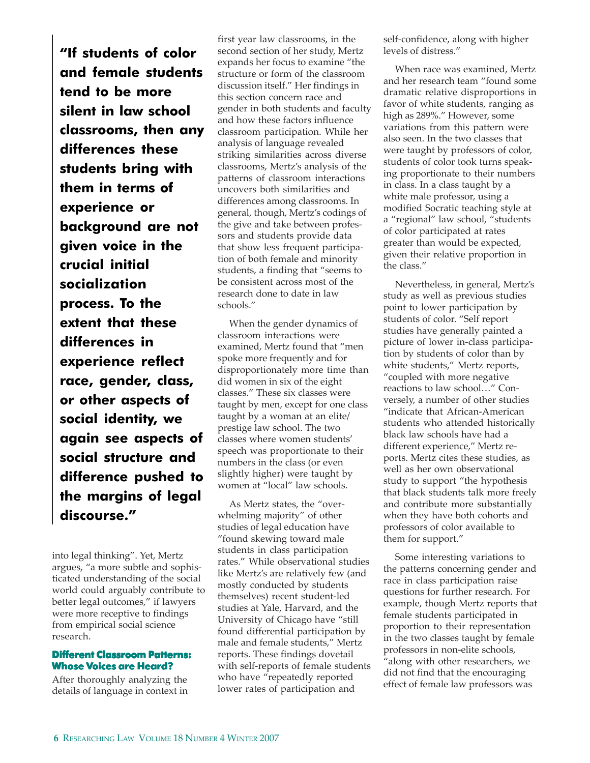**"If students of color and female students tend to be more silent in law school classrooms, then any differences these students bring with them in terms of experience or background are not given voice in the crucial initial socialization process. To the extent that these differences in experience reflect race, gender, class, or other aspects of social identity, we again see aspects of social structure and difference pushed to the margins of legal discourse."**

into legal thinking". Yet, Mertz argues, "a more subtle and sophisticated understanding of the social world could arguably contribute to better legal outcomes," if lawyers were more receptive to findings from empirical social science research.

### **Different Classroom Patterns: Whose Voices are Heard?**

After thoroughly analyzing the details of language in context in first year law classrooms, in the second section of her study, Mertz expands her focus to examine "the structure or form of the classroom discussion itself." Her findings in this section concern race and gender in both students and faculty and how these factors influence classroom participation. While her analysis of language revealed striking similarities across diverse classrooms, Mertz's analysis of the patterns of classroom interactions uncovers both similarities and differences among classrooms. In general, though, Mertz's codings of the give and take between professors and students provide data that show less frequent participation of both female and minority students, a finding that "seems to be consistent across most of the research done to date in law schools."

When the gender dynamics of classroom interactions were examined, Mertz found that "men spoke more frequently and for disproportionately more time than did women in six of the eight classes." These six classes were taught by men, except for one class taught by a woman at an elite/ prestige law school. The two classes where women students' speech was proportionate to their numbers in the class (or even slightly higher) were taught by women at "local" law schools.

As Mertz states, the "overwhelming majority" of other studies of legal education have "found skewing toward male students in class participation rates." While observational studies like Mertz's are relatively few (and mostly conducted by students themselves) recent student-led studies at Yale, Harvard, and the University of Chicago have "still found differential participation by male and female students," Mertz reports. These findings dovetail with self-reports of female students who have "repeatedly reported lower rates of participation and

self-confidence, along with higher levels of distress."

When race was examined, Mertz and her research team "found some dramatic relative disproportions in favor of white students, ranging as high as 289%." However, some variations from this pattern were also seen. In the two classes that were taught by professors of color, students of color took turns speaking proportionate to their numbers in class. In a class taught by a white male professor, using a modified Socratic teaching style at a "regional" law school, "students of color participated at rates greater than would be expected, given their relative proportion in the class."

Nevertheless, in general, Mertz's study as well as previous studies point to lower participation by students of color. "Self report studies have generally painted a picture of lower in-class participation by students of color than by white students," Mertz reports, "coupled with more negative reactions to law school…" Conversely, a number of other studies "indicate that African-American students who attended historically black law schools have had a different experience," Mertz reports. Mertz cites these studies, as well as her own observational study to support "the hypothesis that black students talk more freely and contribute more substantially when they have both cohorts and professors of color available to them for support."

Some interesting variations to the patterns concerning gender and race in class participation raise questions for further research. For example, though Mertz reports that female students participated in proportion to their representation in the two classes taught by female professors in non-elite schools, "along with other researchers, we did not find that the encouraging effect of female law professors was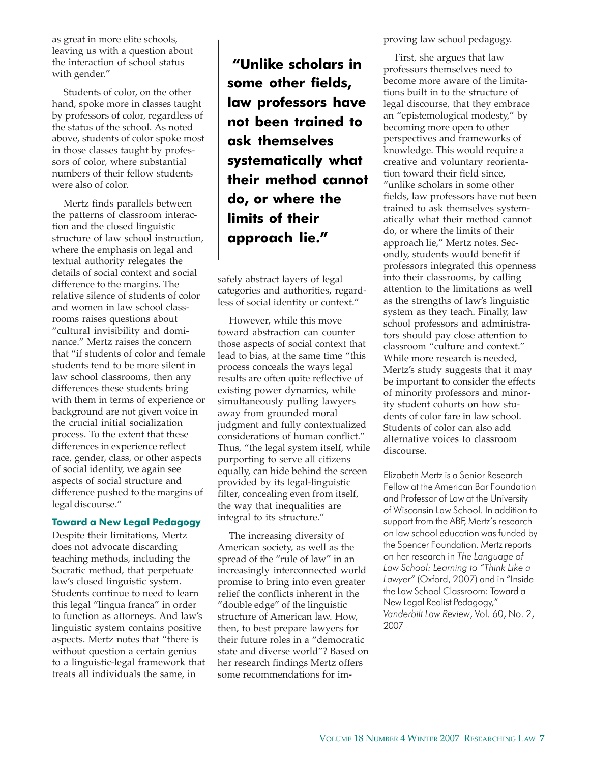as great in more elite schools, leaving us with a question about the interaction of school status with gender."

Students of color, on the other hand, spoke more in classes taught by professors of color, regardless of the status of the school. As noted above, students of color spoke most in those classes taught by professors of color, where substantial numbers of their fellow students were also of color.

Mertz finds parallels between the patterns of classroom interaction and the closed linguistic structure of law school instruction, where the emphasis on legal and textual authority relegates the details of social context and social difference to the margins. The relative silence of students of color and women in law school classrooms raises questions about "cultural invisibility and dominance." Mertz raises the concern that "if students of color and female students tend to be more silent in law school classrooms, then any differences these students bring with them in terms of experience or background are not given voice in the crucial initial socialization process. To the extent that these differences in experience reflect race, gender, class, or other aspects of social identity, we again see aspects of social structure and difference pushed to the margins of legal discourse."

### **Toward a New Legal Pedagogy**

Despite their limitations, Mertz does not advocate discarding teaching methods, including the Socratic method, that perpetuate law's closed linguistic system. Students continue to need to learn this legal "lingua franca" in order to function as attorneys. And law's linguistic system contains positive aspects. Mertz notes that "there is without question a certain genius to a linguistic-legal framework that treats all individuals the same, in

 **"Unlike scholars in some other fields, law professors have not been trained to ask themselves systematically what their method cannot do, or where the limits of their approach lie."**

safely abstract layers of legal categories and authorities, regardless of social identity or context."

However, while this move toward abstraction can counter those aspects of social context that lead to bias, at the same time "this process conceals the ways legal results are often quite reflective of existing power dynamics, while simultaneously pulling lawyers away from grounded moral judgment and fully contextualized considerations of human conflict." Thus, "the legal system itself, while purporting to serve all citizens equally, can hide behind the screen provided by its legal-linguistic filter, concealing even from itself, the way that inequalities are integral to its structure."

The increasing diversity of American society, as well as the spread of the "rule of law" in an increasingly interconnected world promise to bring into even greater relief the conflicts inherent in the "double edge" of the linguistic structure of American law. How, then, to best prepare lawyers for their future roles in a "democratic state and diverse world"? Based on her research findings Mertz offers some recommendations for improving law school pedagogy.

First, she argues that law professors themselves need to become more aware of the limitations built in to the structure of legal discourse, that they embrace an "epistemological modesty," by becoming more open to other perspectives and frameworks of knowledge. This would require a creative and voluntary reorientation toward their field since, "unlike scholars in some other fields, law professors have not been trained to ask themselves systematically what their method cannot do, or where the limits of their approach lie," Mertz notes. Secondly, students would benefit if professors integrated this openness into their classrooms, by calling attention to the limitations as well as the strengths of law's linguistic system as they teach. Finally, law school professors and administrators should pay close attention to classroom "culture and context." While more research is needed, Mertz's study suggests that it may be important to consider the effects of minority professors and minority student cohorts on how students of color fare in law school. Students of color can also add alternative voices to classroom discourse.

Elizabeth Mertz is a Senior Research Fellow at the American Bar Foundation and Professor of Law at the University of Wisconsin Law School. In addition to support from the ABF, Mertz's research on law school education was funded by the Spencer Foundation. Mertz reports on her research in *The Language of Law School: Learning to "Think Like a Lawyer"* (Oxford, 2007) and in "Inside the Law School Classroom: Toward a New Legal Realist Pedagogy," *Vanderbilt Law Review*, Vol. 60, No. 2, 2007